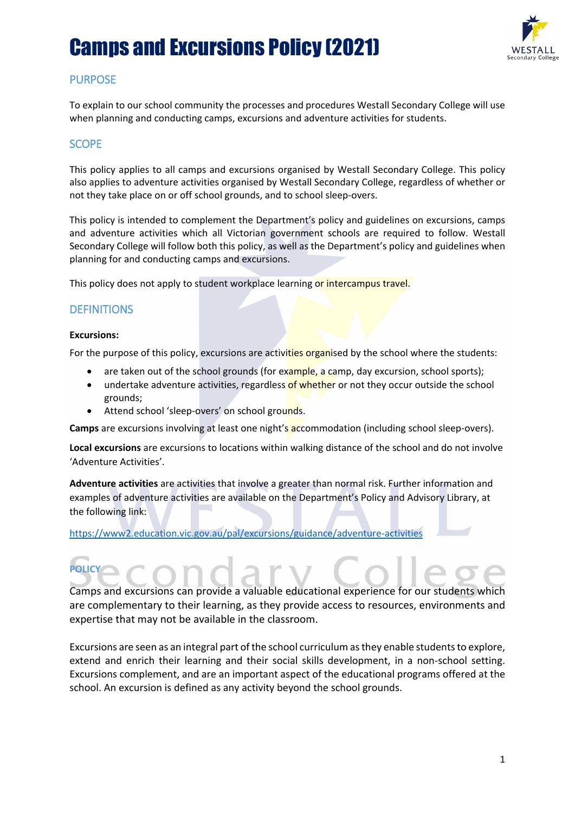

#### **PURPOSE**

To explain to our school community the processes and procedures Westall Secondary College will use when planning and conducting camps, excursions and adventure activities for students.

#### **SCOPE**

This policy applies to all camps and excursions organised by Westall Secondary College. This policy also applies to adventure activities organised by Westall Secondary College, regardless of whether or not they take place on or off school grounds, and to school sleep-overs.

This policy is intended to complement the Department's policy and guidelines on excursions, camps and adventure activities which all Victorian government schools are required to follow. Westall Secondary College will follow both this policy, as well as the Department's policy and guidelines when planning for and conducting camps and excursions.

This policy does not apply to student workplace learning or intercampus travel.

#### **DEFINITIONS**

#### **Excursions:**

For the purpose of this policy, excursions are activities organised by the school where the students:

- are taken out of the school grounds (for example, a camp, day excursion, school sports);
- undertake adventure activities, regardless of whether or not they occur outside the school grounds;
- Attend school 'sleep-overs' on school grounds.

**Camps** are excursions involving at least one night's accommodation (including school sleep-overs).

**Local excursions** are excursions to locations within walking distance of the school and do not involve 'Adventure Activities'.

**Adventure activities** are activities that involve a greater than normal risk. Further information and examples of adventure activities are available on the Department's Policy and Advisory Library, at the following link:

<https://www2.education.vic.gov.au/pal/excursions/guidance/adventure-activities>

## **POLICY**

Camps and excursions can provide a valuable educational experience for our students which are complementary to their learning, as they provide access to resources, environments and expertise that may not be available in the classroom.

Excursions are seen as an integral part of the school curriculum as they enable students to explore, extend and enrich their learning and their social skills development, in a non-school setting. Excursions complement, and are an important aspect of the educational programs offered at the school. An excursion is defined as any activity beyond the school grounds.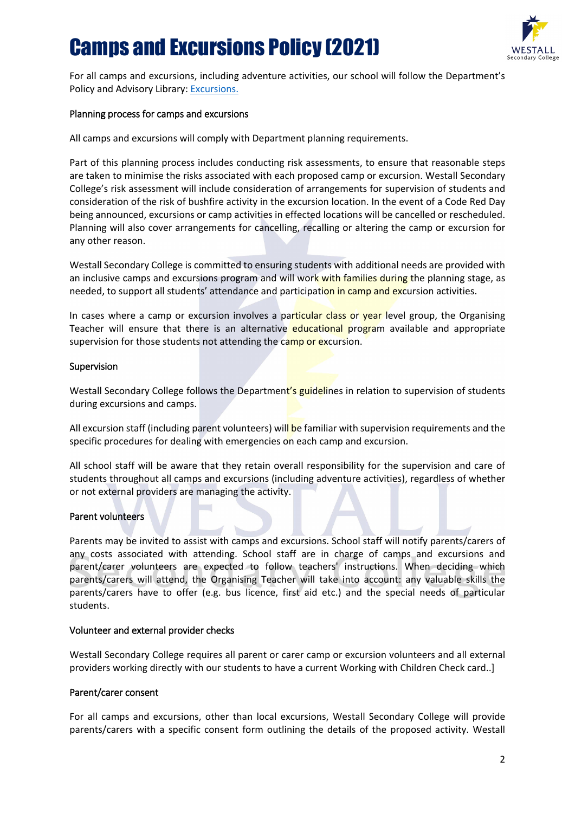

For all camps and excursions, including adventure activities, our school will follow the Department's Policy and Advisory Library: [Excursions.](https://www2.education.vic.gov.au/pal/excursions/policy)

#### Planning process for camps and excursions

All camps and excursions will comply with Department planning requirements.

Part of this planning process includes conducting risk assessments, to ensure that reasonable steps are taken to minimise the risks associated with each proposed camp or excursion. Westall Secondary College's risk assessment will include consideration of arrangements for supervision of students and consideration of the risk of bushfire activity in the excursion location. In the event of a Code Red Day being announced, excursions or camp activities in effected locations will be cancelled or rescheduled. Planning will also cover arrangements for cancelling, recalling or altering the camp or excursion for any other reason.

Westall Secondary College is committed to ensuring students with additional needs are provided with an inclusive camps and excursions program and will work with families during the planning stage, as needed, to support all students' attendance and participation in camp and excursion activities.

In cases where a camp or excursion involves a particular class or year level group, the Organising Teacher will ensure that there is an alternative educational program available and appropriate supervision for those students not attending the camp or excursion.

#### Supervision

Westall Secondary College follows the Department's guidelines in relation to supervision of students during excursions and camps.

All excursion staff (including parent volunteers) will be familiar with supervision requirements and the specific procedures for dealing with emergencies on each camp and excursion.

All school staff will be aware that they retain overall responsibility for the supervision and care of students throughout all camps and excursions (including adventure activities), regardless of whether or not external providers are managing the activity.

#### Parent volunteers

Parents may be invited to assist with camps and excursions. School staff will notify parents/carers of any costs associated with attending. School staff are in charge of camps and excursions and parent/carer volunteers are expected to follow teachers' instructions. When deciding which parents/carers will attend, the Organising Teacher will take into account: any valuable skills the parents/carers have to offer (e.g. bus licence, first aid etc.) and the special needs of particular students.

#### Volunteer and external provider checks

Westall Secondary College requires all parent or carer camp or excursion volunteers and all external providers working directly with our students to have a current Working with Children Check card..]

#### Parent/carer consent

For all camps and excursions, other than local excursions, Westall Secondary College will provide parents/carers with a specific consent form outlining the details of the proposed activity. Westall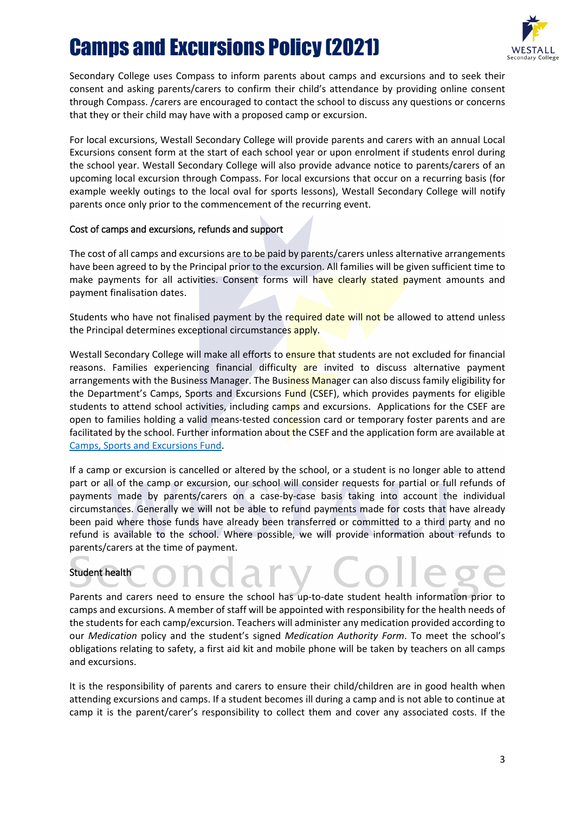

Secondary College uses Compass to inform parents about camps and excursions and to seek their consent and asking parents/carers to confirm their child's attendance by providing online consent through Compass. /carers are encouraged to contact the school to discuss any questions or concerns that they or their child may have with a proposed camp or excursion.

For local excursions, Westall Secondary College will provide parents and carers with an annual Local Excursions consent form at the start of each school year or upon enrolment if students enrol during the school year. Westall Secondary College will also provide advance notice to parents/carers of an upcoming local excursion through Compass. For local excursions that occur on a recurring basis (for example weekly outings to the local oval for sports lessons), Westall Secondary College will notify parents once only prior to the commencement of the recurring event.

#### Cost of camps and excursions, refunds and support

The cost of all camps and excursions are to be paid by parents/carers unless alternative arrangements have been agreed to by the Principal prior to the excursion. All families will be given sufficient time to make payments for all activities. Consent forms will have clearly stated payment amounts and payment finalisation dates.

Students who have not finalised payment by the required date will not be allowed to attend unless the Principal determines exceptional circumstances apply.

Westall Secondary College will make all efforts to ensure that students are not excluded for financial reasons. Families experiencing financial difficulty are invited to discuss alternative payment arrangements with the Business Manager. The Business Manager can also discuss family eligibility for the Department's Camps, Sports and Excursions Fund (CSEF), which provides payments for eligible students to attend school activities, including camps and excursions. Applications for the CSEF are open to families holding a valid means-tested concession card or temporary foster parents and are facilitated by the school. Further information about the CSEF and the application form are available at [Camps, Sports and Excursions Fund.](https://www2.education.vic.gov.au/pal/camps-sports-and-excursions-fund/policy)

If a camp or excursion is cancelled or altered by the school, or a student is no longer able to attend part or all of the camp or excursion, our school will consider requests for partial or full refunds of payments made by parents/carers on a case-by-case basis taking into account the individual circumstances. Generally we will not be able to refund payments made for costs that have already been paid where those funds have already been transferred or committed to a third party and no refund is available to the school. Where possible, we will provide information about refunds to parents/carers at the time of payment.

#### Student health

Parents and carers need to ensure the school has up-to-date student health information prior to camps and excursions. A member of staff will be appointed with responsibility for the health needs of the students for each camp/excursion. Teachers will administer any medication provided according to our *Medication* policy and the student's signed *Medication Authority Form*. To meet the school's obligations relating to safety, a first aid kit and mobile phone will be taken by teachers on all camps and excursions.

It is the responsibility of parents and carers to ensure their child/children are in good health when attending excursions and camps. If a student becomes ill during a camp and is not able to continue at camp it is the parent/carer's responsibility to collect them and cover any associated costs. If the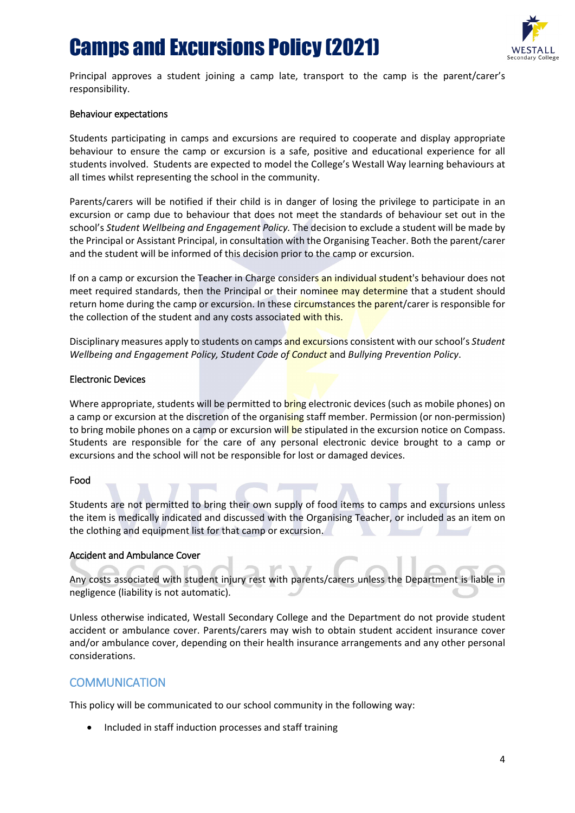

Principal approves a student joining a camp late, transport to the camp is the parent/carer's responsibility.

#### Behaviour expectations

Students participating in camps and excursions are required to cooperate and display appropriate behaviour to ensure the camp or excursion is a safe, positive and educational experience for all students involved. Students are expected to model the College's Westall Way learning behaviours at all times whilst representing the school in the community.

Parents/carers will be notified if their child is in danger of losing the privilege to participate in an excursion or camp due to behaviour that does not meet the standards of behaviour set out in the school's *Student Wellbeing and Engagement Policy.* The decision to exclude a student will be made by the Principal or Assistant Principal, in consultation with the Organising Teacher. Both the parent/carer and the student will be informed of this decision prior to the camp or excursion.

If on a camp or excursion the Teacher in Charge considers an individual student's behaviour does not meet required standards, then the Principal or their nominee may determine that a student should return home during the camp or excursion. In these circumstances the parent/carer is responsible for the collection of the student and any costs associated with this.

Disciplinary measures apply to students on camps and excursions consistent with our school's *Student Wellbeing and Engagement Policy, Student Code of Conduct* and *Bullying Prevention Policy*.

#### Electronic Devices

Where appropriate, students will be permitted to bring electronic devices (such as mobile phones) on a camp or excursion at the discretion of the organising staff member. Permission (or non-permission) to bring mobile phones on a camp or excursion will be stipulated in the excursion notice on Compass. Students are responsible for the care of any personal electronic device brought to a camp or excursions and the school will not be responsible for lost or damaged devices.

#### Food

Students are not permitted to bring their own supply of food items to camps and excursions unless the item is medically indicated and discussed with the Organising Teacher, or included as an item on the clothing and equipment list for that camp or excursion.

#### Accident and Ambulance Cover

Any costs associated with student injury rest with parents/carers unless the Department is liable in negligence (liability is not automatic).

Unless otherwise indicated, Westall Secondary College and the Department do not provide student accident or ambulance cover. Parents/carers may wish to obtain student accident insurance cover and/or ambulance cover, depending on their health insurance arrangements and any other personal considerations.

#### **COMMUNICATION**

This policy will be communicated to our school community in the following way:

• Included in staff induction processes and staff training